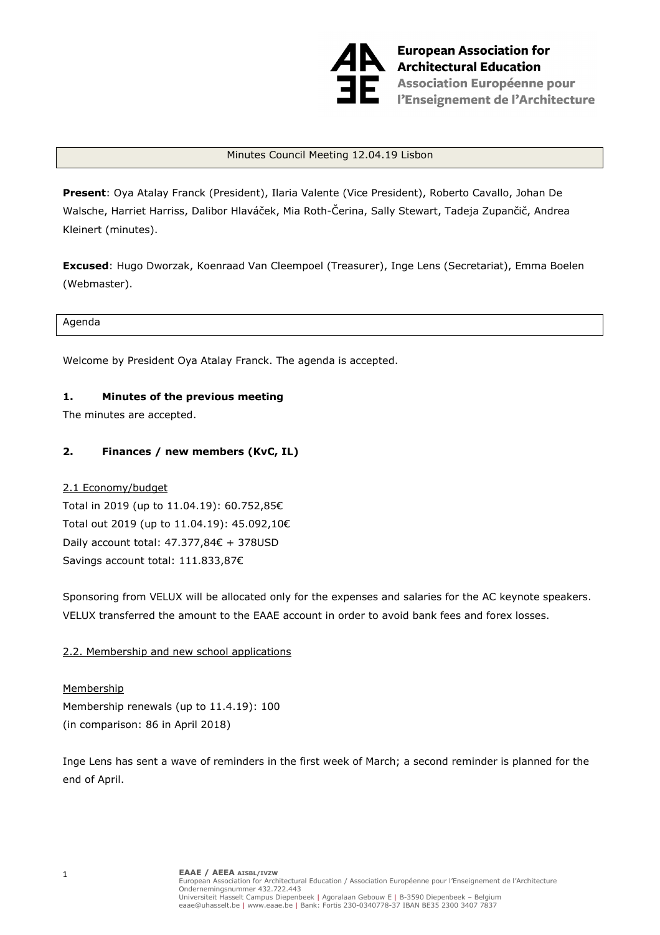

**European Association for Architectural Education Exprc** Association Européenne pour<br>Exprcis l'Enseignement de l'Architecture

#### Minutes Council Meeting 12.04.19 Lisbon

**Present**: Oya Atalay Franck (President), Ilaria Valente (Vice President), Roberto Cavallo, Johan De Walsche, Harriet Harriss, Dalibor Hlaváček, Mia Roth-Čerina, Sally Stewart, Tadeja Zupančič, Andrea Kleinert (minutes).

**Excused**: Hugo Dworzak, Koenraad Van Cleempoel (Treasurer), Inge Lens (Secretariat), Emma Boelen (Webmaster).

Agenda

Welcome by President Oya Atalay Franck. The agenda is accepted.

#### **1. Minutes of the previous meeting**

The minutes are accepted.

#### **2. Finances / new members (KvC, IL)**

#### 2.1 Economy/budget

Total in 2019 (up to 11.04.19): 60.752,85€ Total out 2019 (up to 11.04.19): 45.092,10€ Daily account total: 47.377,84€ + 378USD Savings account total: 111.833,87€

Sponsoring from VELUX will be allocated only for the expenses and salaries for the AC keynote speakers. VELUX transferred the amount to the EAAE account in order to avoid bank fees and forex losses.

#### 2.2. Membership and new school applications

Membership Membership renewals (up to 11.4.19): 100 (in comparison: 86 in April 2018)

Inge Lens has sent a wave of reminders in the first week of March; a second reminder is planned for the end of April.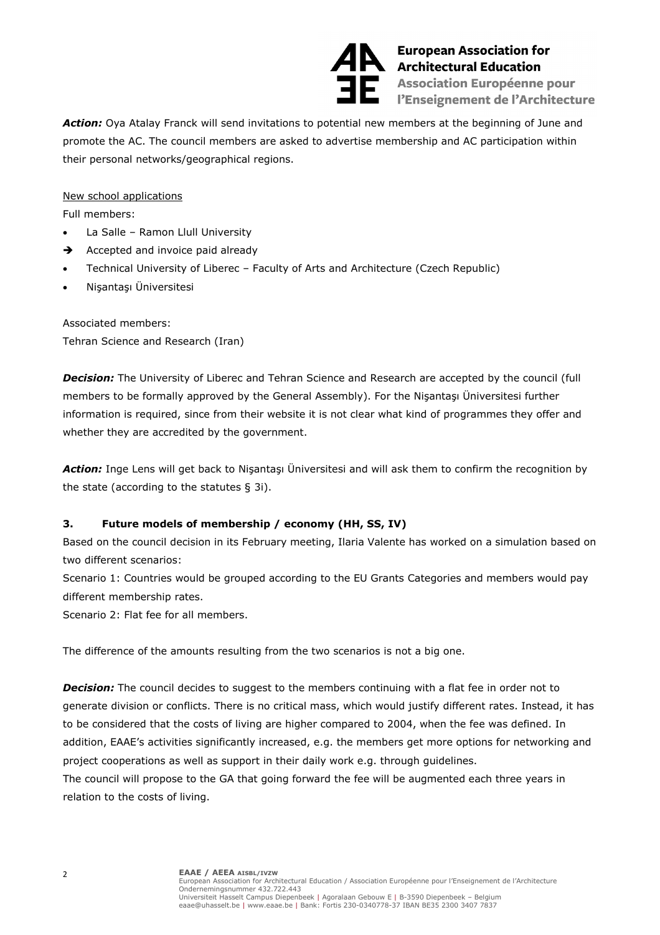

**European Association fo<br>Architectural Education<br>Association Européenne European Association for En Association Européenne pour<br>Enseignement de l'Architecture** 

*Action:* Oya Atalay Franck will send invitations to potential new members at the beginning of June and promote the AC. The council members are asked to advertise membership and AC participation within their personal networks/geographical regions.

New school applications

Full members:

- La Salle Ramon Llull University
- $\rightarrow$  Accepted and invoice paid already
- Technical University of Liberec Faculty of Arts and Architecture (Czech Republic)
- Nişantaşı Üniversitesi

Associated members: Tehran Science and Research (Iran)

**Decision:** The University of Liberec and Tehran Science and Research are accepted by the council (full members to be formally approved by the General Assembly). For the Nişantaşı Üniversitesi further information is required, since from their website it is not clear what kind of programmes they offer and whether they are accredited by the government.

*Action:* Inge Lens will get back to Nişantaşı Üniversitesi and will ask them to confirm the recognition by the state (according to the statutes § 3i).

# **3. Future models of membership / economy (HH, SS, IV)**

Based on the council decision in its February meeting, Ilaria Valente has worked on a simulation based on two different scenarios:

Scenario 1: Countries would be grouped according to the EU Grants Categories and members would pay different membership rates.

Scenario 2: Flat fee for all members.

The difference of the amounts resulting from the two scenarios is not a big one.

**Decision:** The council decides to suggest to the members continuing with a flat fee in order not to generate division or conflicts. There is no critical mass, which would justify different rates. Instead, it has to be considered that the costs of living are higher compared to 2004, when the fee was defined. In addition, EAAE's activities significantly increased, e.g. the members get more options for networking and project cooperations as well as support in their daily work e.g. through guidelines.

The council will propose to the GA that going forward the fee will be augmented each three years in relation to the costs of living.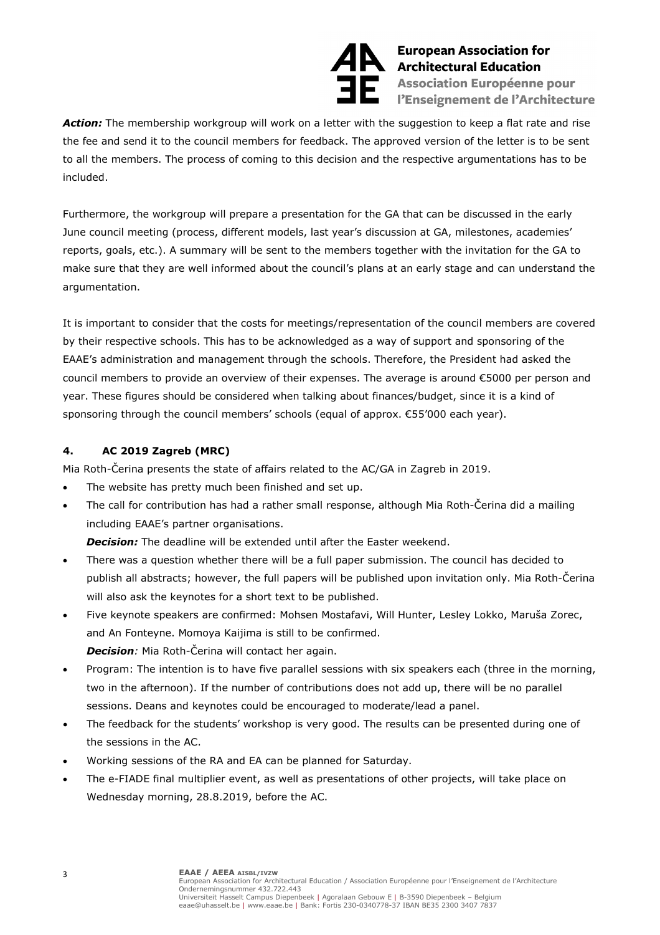

**European Association fo<br>Architectural Education<br>Association Européenne European Association for En Association Européenne pour<br>En l'Enseignement de l'Architecture** 

Action: The membership workgroup will work on a letter with the suggestion to keep a flat rate and rise the fee and send it to the council members for feedback. The approved version of the letter is to be sent to all the members. The process of coming to this decision and the respective argumentations has to be included.

Furthermore, the workgroup will prepare a presentation for the GA that can be discussed in the early June council meeting (process, different models, last year's discussion at GA, milestones, academies' reports, goals, etc.). A summary will be sent to the members together with the invitation for the GA to make sure that they are well informed about the council's plans at an early stage and can understand the argumentation.

It is important to consider that the costs for meetings/representation of the council members are covered by their respective schools. This has to be acknowledged as a way of support and sponsoring of the EAAE's administration and management through the schools. Therefore, the President had asked the council members to provide an overview of their expenses. The average is around €5000 per person and year. These figures should be considered when talking about finances/budget, since it is a kind of sponsoring through the council members' schools (equal of approx. €55'000 each year).

### **4. AC 2019 Zagreb (MRC)**

Mia Roth-Čerina presents the state of affairs related to the AC/GA in Zagreb in 2019.

- The website has pretty much been finished and set up.
- The call for contribution has had a rather small response, although Mia Roth-Čerina did a mailing including EAAE's partner organisations.

*Decision:* The deadline will be extended until after the Easter weekend.

- There was a question whether there will be a full paper submission. The council has decided to publish all abstracts; however, the full papers will be published upon invitation only. Mia Roth-Čerina will also ask the keynotes for a short text to be published.
- Five keynote speakers are confirmed: Mohsen Mostafavi, Will Hunter, Lesley Lokko, Maruša Zorec, and An Fonteyne. Momoya Kaijima is still to be confirmed. *Decision:* Mia Roth-Čerina will contact her again.
- Program: The intention is to have five parallel sessions with six speakers each (three in the morning, two in the afternoon). If the number of contributions does not add up, there will be no parallel sessions. Deans and keynotes could be encouraged to moderate/lead a panel.
- The feedback for the students' workshop is very good. The results can be presented during one of the sessions in the AC.
- Working sessions of the RA and EA can be planned for Saturday.
- The e-FIADE final multiplier event, as well as presentations of other projects, will take place on Wednesday morning, 28.8.2019, before the AC.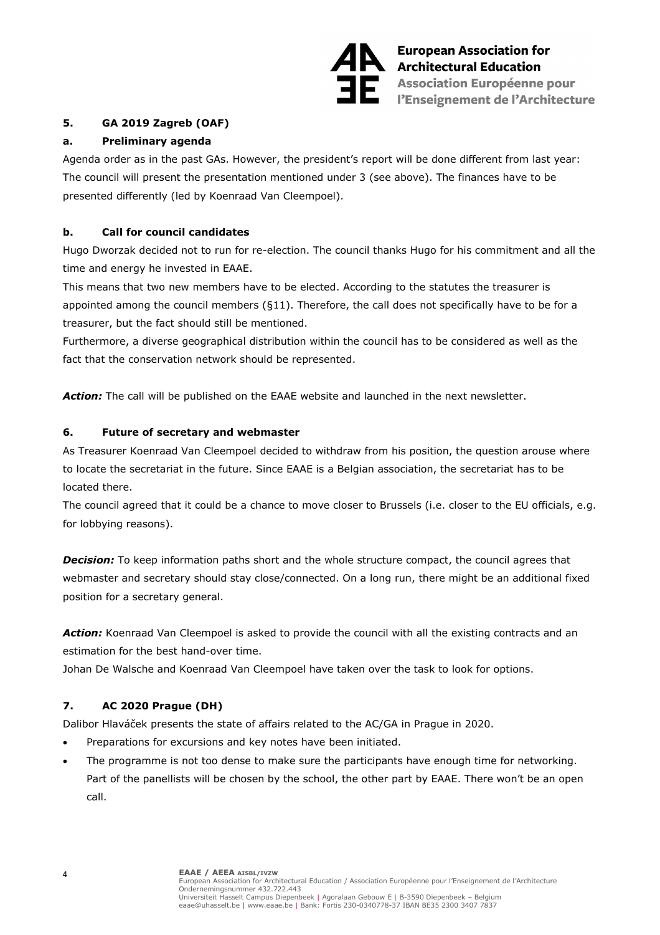

**European Association for European Association fo<br>Architectural Education<br>Association Européenne En Association Européenne pour<br>En l'Enseignement de l'Architecture** 

## **5. GA 2019 Zagreb (OAF)**

### **a. Preliminary agenda**

Agenda order as in the past GAs. However, the president's report will be done different from last year: The council will present the presentation mentioned under 3 (see above). The finances have to be presented differently (led by Koenraad Van Cleempoel).

## **b. Call for council candidates**

Hugo Dworzak decided not to run for re-election. The council thanks Hugo for his commitment and all the time and energy he invested in EAAE.

This means that two new members have to be elected. According to the statutes the treasurer is appointed among the council members (§11). Therefore, the call does not specifically have to be for a treasurer, but the fact should still be mentioned.

Furthermore, a diverse geographical distribution within the council has to be considered as well as the fact that the conservation network should be represented.

*Action:* The call will be published on the EAAE website and launched in the next newsletter.

### **6. Future of secretary and webmaster**

As Treasurer Koenraad Van Cleempoel decided to withdraw from his position, the question arouse where to locate the secretariat in the future. Since EAAE is a Belgian association, the secretariat has to be located there.

The council agreed that it could be a chance to move closer to Brussels (i.e. closer to the EU officials, e.g. for lobbying reasons).

**Decision:** To keep information paths short and the whole structure compact, the council agrees that webmaster and secretary should stay close/connected. On a long run, there might be an additional fixed position for a secretary general.

Action: Koenraad Van Cleempoel is asked to provide the council with all the existing contracts and an estimation for the best hand-over time.

Johan De Walsche and Koenraad Van Cleempoel have taken over the task to look for options.

# **7. AC 2020 Prague (DH)**

Dalibor Hlaváček presents the state of affairs related to the AC/GA in Prague in 2020.

- Preparations for excursions and key notes have been initiated.
- The programme is not too dense to make sure the participants have enough time for networking. Part of the panellists will be chosen by the school, the other part by EAAE. There won't be an open call.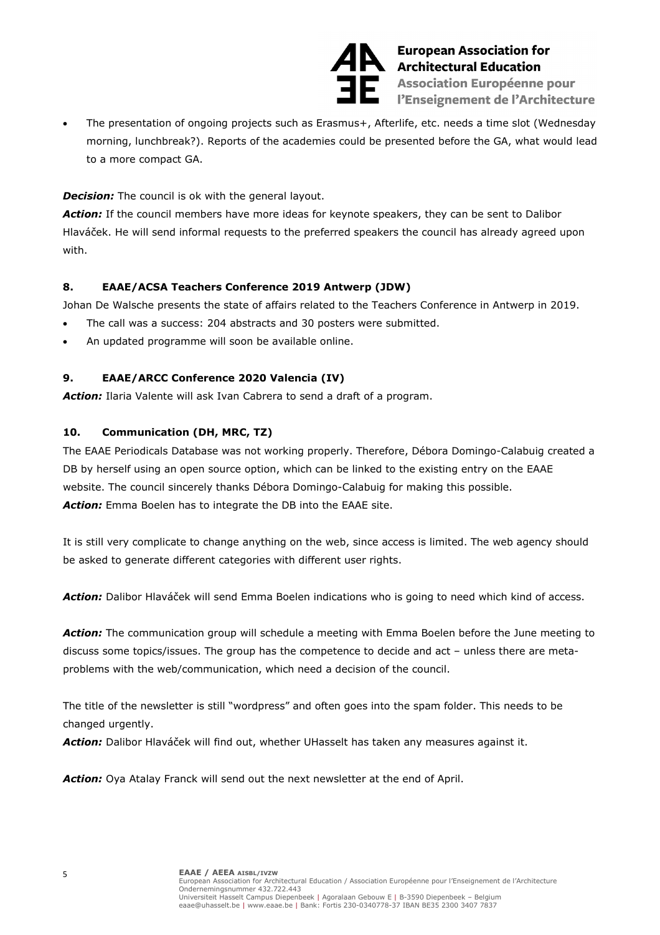

**European Association fo<br>Architectural Education<br>Association Européenne European Association for Exprc** Association Européenne pour<br>Exprcis l'Enseignement de l'Architecture

The presentation of ongoing projects such as Erasmus+, Afterlife, etc. needs a time slot (Wednesday morning, lunchbreak?). Reports of the academies could be presented before the GA, what would lead to a more compact GA.

*Decision:* The council is ok with the general layout.

*Action:* If the council members have more ideas for keynote speakers, they can be sent to Dalibor Hlaváček. He will send informal requests to the preferred speakers the council has already agreed upon with.

# **8. EAAE/ACSA Teachers Conference 2019 Antwerp (JDW)**

Johan De Walsche presents the state of affairs related to the Teachers Conference in Antwerp in 2019.

- The call was a success: 204 abstracts and 30 posters were submitted.
- An updated programme will soon be available online.

# **9. EAAE/ARCC Conference 2020 Valencia (IV)**

*Action:* Ilaria Valente will ask Ivan Cabrera to send a draft of a program.

# **10. Communication (DH, MRC, TZ)**

The EAAE Periodicals Database was not working properly. Therefore, Débora Domingo-Calabuig created a DB by herself using an open source option, which can be linked to the existing entry on the EAAE website. The council sincerely thanks Débora Domingo-Calabuig for making this possible. *Action:* Emma Boelen has to integrate the DB into the EAAE site.

It is still very complicate to change anything on the web, since access is limited. The web agency should be asked to generate different categories with different user rights.

*Action:* Dalibor Hlaváček will send Emma Boelen indications who is going to need which kind of access.

*Action:* The communication group will schedule a meeting with Emma Boelen before the June meeting to discuss some topics/issues. The group has the competence to decide and act – unless there are metaproblems with the web/communication, which need a decision of the council.

The title of the newsletter is still "wordpress" and often goes into the spam folder. This needs to be changed urgently.

*Action:* Dalibor Hlaváček will find out, whether UHasselt has taken any measures against it.

*Action:* Oya Atalay Franck will send out the next newsletter at the end of April.